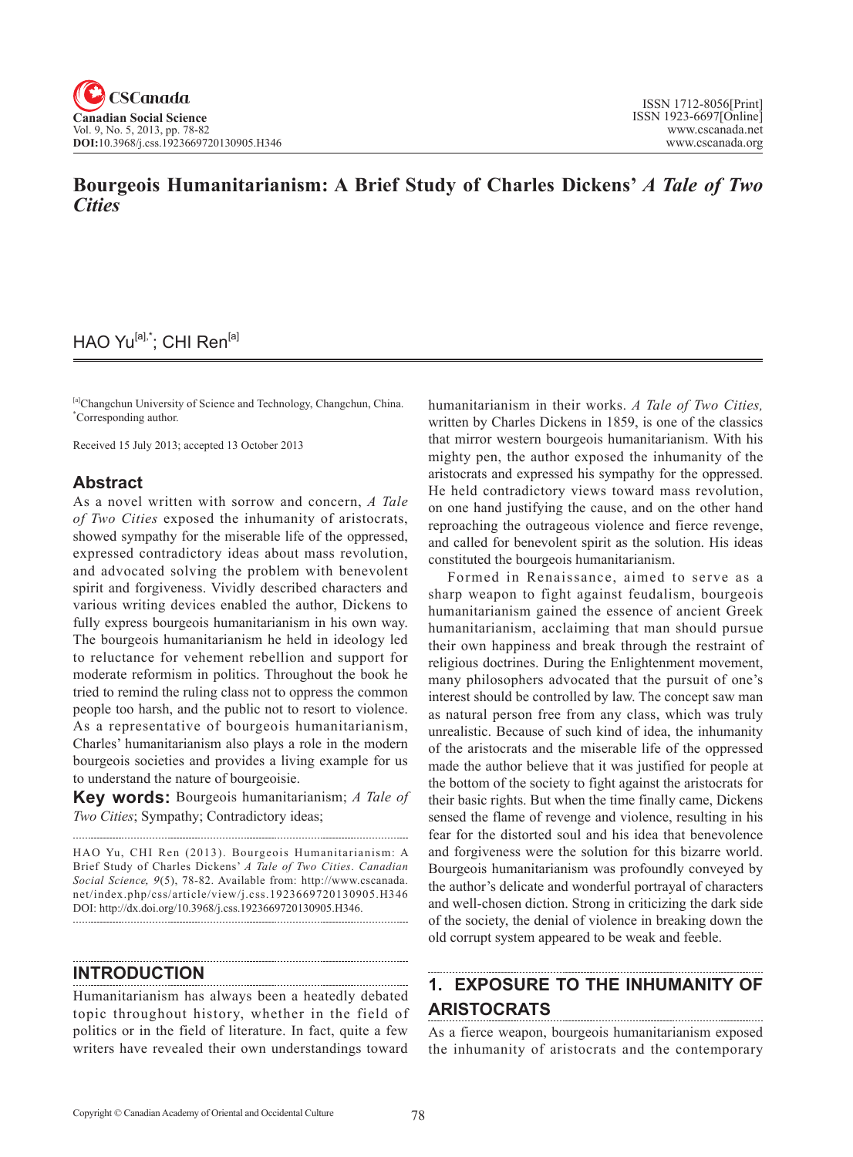# **Bourgeois Humanitarianism: A Brief Study of Charles Dickens'** *A Tale of Two Cities*

## HAO Yu<sup>[a],\*</sup>; CHI Ren<sup>[a]</sup>

[a]Changchun University of Science and Technology, Changchun, China. \* Corresponding author.

Received 15 July 2013; accepted 13 October 2013

### **Abstract**

As a novel written with sorrow and concern, *A Tale of Two Cities* exposed the inhumanity of aristocrats, showed sympathy for the miserable life of the oppressed, expressed contradictory ideas about mass revolution, and advocated solving the problem with benevolent spirit and forgiveness. Vividly described characters and various writing devices enabled the author, Dickens to fully express bourgeois humanitarianism in his own way. The bourgeois humanitarianism he held in ideology led to reluctance for vehement rebellion and support for moderate reformism in politics. Throughout the book he tried to remind the ruling class not to oppress the common people too harsh, and the public not to resort to violence. As a representative of bourgeois humanitarianism, Charles' humanitarianism also plays a role in the modern bourgeois societies and provides a living example for us to understand the nature of bourgeoisie.

**Key words:** Bourgeois humanitarianism; *A Tale of Two Cities*; Sympathy; Contradictory ideas;

HAO Yu, CHI Ren (2013). Bourgeois Humanitarianism: A Brief Study of Charles Dickens' *A Tale of Two Cities*. *Canadian Social Science*, 9(5), 78-82. Available from: http://www.cscanada. net/index.php/css/article/view/j.css.1923669720130905.H346 DOI: http://dx.doi.org/10.3968/j.css.1923669720130905.H346. 

#### **INTRODUCTION**

Humanitarianism has always been a heatedly debated topic throughout history, whether in the field of politics or in the field of literature. In fact, quite a few writers have revealed their own understandings toward

humanitarianism in their works. *A Tale of Two Cities,* written by Charles Dickens in 1859, is one of the classics that mirror western bourgeois humanitarianism. With his mighty pen, the author exposed the inhumanity of the aristocrats and expressed his sympathy for the oppressed. He held contradictory views toward mass revolution, on one hand justifying the cause, and on the other hand reproaching the outrageous violence and fierce revenge, and called for benevolent spirit as the solution. His ideas constituted the bourgeois humanitarianism.

Formed in Renaissance, aimed to serve as a sharp weapon to fight against feudalism, bourgeois humanitarianism gained the essence of ancient Greek humanitarianism, acclaiming that man should pursue their own happiness and break through the restraint of religious doctrines. During the Enlightenment movement, many philosophers advocated that the pursuit of one's interest should be controlled by law. The concept saw man as natural person free from any class, which was truly unrealistic. Because of such kind of idea, the inhumanity of the aristocrats and the miserable life of the oppressed made the author believe that it was justified for people at the bottom of the society to fight against the aristocrats for their basic rights. But when the time finally came, Dickens sensed the flame of revenge and violence, resulting in his fear for the distorted soul and his idea that benevolence and forgiveness were the solution for this bizarre world. Bourgeois humanitarianism was profoundly conveyed by the author's delicate and wonderful portrayal of characters and well-chosen diction. Strong in criticizing the dark side of the society, the denial of violence in breaking down the old corrupt system appeared to be weak and feeble.

#### **1. EXPOSURE TO THE INHUMANITY OF ARISTOCRATS**

As a fierce weapon, bourgeois humanitarianism exposed the inhumanity of aristocrats and the contemporary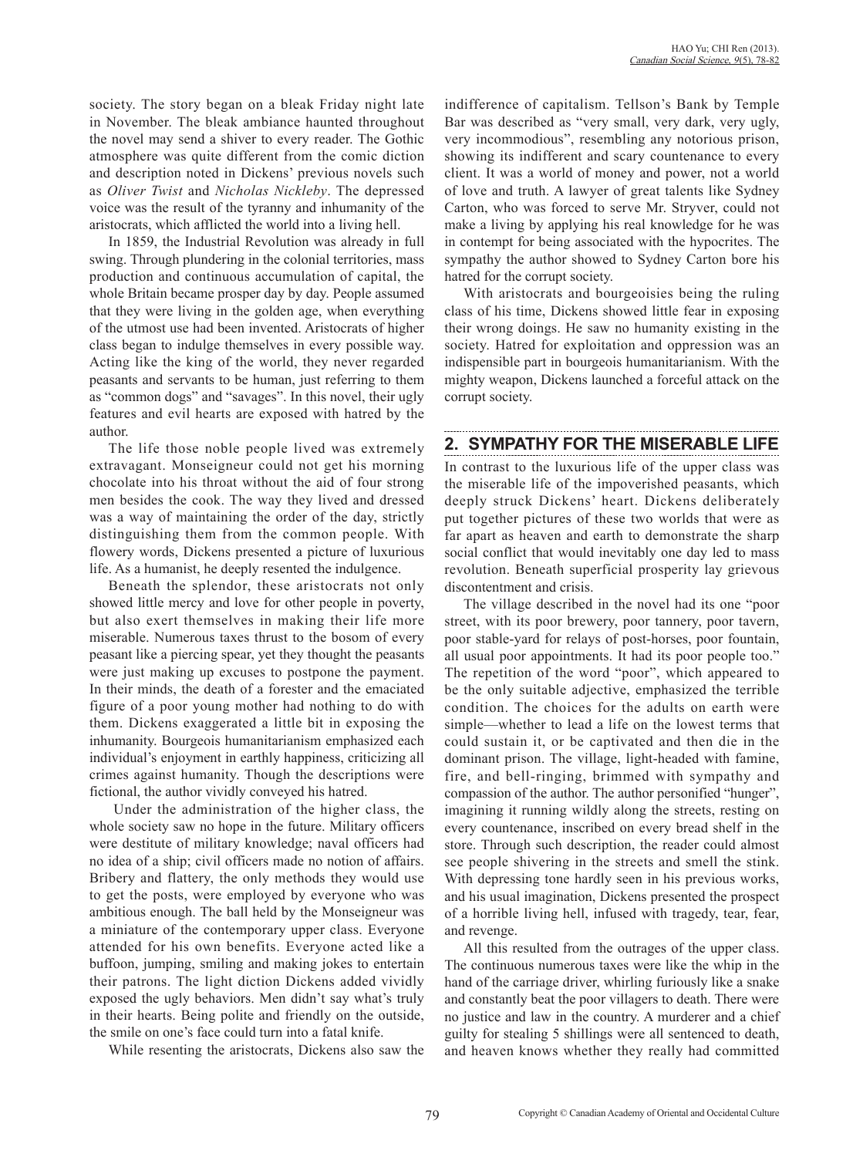society. The story began on a bleak Friday night late in November. The bleak ambiance haunted throughout the novel may send a shiver to every reader. The Gothic atmosphere was quite different from the comic diction and description noted in Dickens' previous novels such as *Oliver Twist* and *Nicholas Nickleby*. The depressed voice was the result of the tyranny and inhumanity of the aristocrats, which afflicted the world into a living hell.

In 1859, the Industrial Revolution was already in full swing. Through plundering in the colonial territories, mass production and continuous accumulation of capital, the whole Britain became prosper day by day. People assumed that they were living in the golden age, when everything of the utmost use had been invented. Aristocrats of higher class began to indulge themselves in every possible way. Acting like the king of the world, they never regarded peasants and servants to be human, just referring to them as "common dogs" and "savages". In this novel, their ugly features and evil hearts are exposed with hatred by the author.

The life those noble people lived was extremely extravagant. Monseigneur could not get his morning chocolate into his throat without the aid of four strong men besides the cook. The way they lived and dressed was a way of maintaining the order of the day, strictly distinguishing them from the common people. With flowery words, Dickens presented a picture of luxurious life. As a humanist, he deeply resented the indulgence.

Beneath the splendor, these aristocrats not only showed little mercy and love for other people in poverty, but also exert themselves in making their life more miserable. Numerous taxes thrust to the bosom of every peasant like a piercing spear, yet they thought the peasants were just making up excuses to postpone the payment. In their minds, the death of a forester and the emaciated figure of a poor young mother had nothing to do with them. Dickens exaggerated a little bit in exposing the inhumanity. Bourgeois humanitarianism emphasized each individual's enjoyment in earthly happiness, criticizing all crimes against humanity. Though the descriptions were fictional, the author vividly conveyed his hatred.

 Under the administration of the higher class, the whole society saw no hope in the future. Military officers were destitute of military knowledge; naval officers had no idea of a ship; civil officers made no notion of affairs. Bribery and flattery, the only methods they would use to get the posts, were employed by everyone who was ambitious enough. The ball held by the Monseigneur was a miniature of the contemporary upper class. Everyone attended for his own benefits. Everyone acted like a buffoon, jumping, smiling and making jokes to entertain their patrons. The light diction Dickens added vividly exposed the ugly behaviors. Men didn't say what's truly in their hearts. Being polite and friendly on the outside, the smile on one's face could turn into a fatal knife.

While resenting the aristocrats, Dickens also saw the

indifference of capitalism. Tellson's Bank by Temple Bar was described as "very small, very dark, very ugly, very incommodious", resembling any notorious prison, showing its indifferent and scary countenance to every client. It was a world of money and power, not a world of love and truth. A lawyer of great talents like Sydney Carton, who was forced to serve Mr. Stryver, could not make a living by applying his real knowledge for he was in contempt for being associated with the hypocrites. The sympathy the author showed to Sydney Carton bore his hatred for the corrupt society.

With aristocrats and bourgeoisies being the ruling class of his time, Dickens showed little fear in exposing their wrong doings. He saw no humanity existing in the society. Hatred for exploitation and oppression was an indispensible part in bourgeois humanitarianism. With the mighty weapon, Dickens launched a forceful attack on the corrupt society.

### **2. SYMPATHY FOR THE MISERABLE LIFE**

In contrast to the luxurious life of the upper class was the miserable life of the impoverished peasants, which deeply struck Dickens' heart. Dickens deliberately put together pictures of these two worlds that were as far apart as heaven and earth to demonstrate the sharp social conflict that would inevitably one day led to mass revolution. Beneath superficial prosperity lay grievous discontentment and crisis.

The village described in the novel had its one "poor street, with its poor brewery, poor tannery, poor tavern, poor stable-yard for relays of post-horses, poor fountain, all usual poor appointments. It had its poor people too." The repetition of the word "poor", which appeared to be the only suitable adjective, emphasized the terrible condition. The choices for the adults on earth were simple—whether to lead a life on the lowest terms that could sustain it, or be captivated and then die in the dominant prison. The village, light-headed with famine, fire, and bell-ringing, brimmed with sympathy and compassion of the author. The author personified "hunger", imagining it running wildly along the streets, resting on every countenance, inscribed on every bread shelf in the store. Through such description, the reader could almost see people shivering in the streets and smell the stink. With depressing tone hardly seen in his previous works, and his usual imagination, Dickens presented the prospect of a horrible living hell, infused with tragedy, tear, fear, and revenge.

All this resulted from the outrages of the upper class. The continuous numerous taxes were like the whip in the hand of the carriage driver, whirling furiously like a snake and constantly beat the poor villagers to death. There were no justice and law in the country. A murderer and a chief guilty for stealing 5 shillings were all sentenced to death, and heaven knows whether they really had committed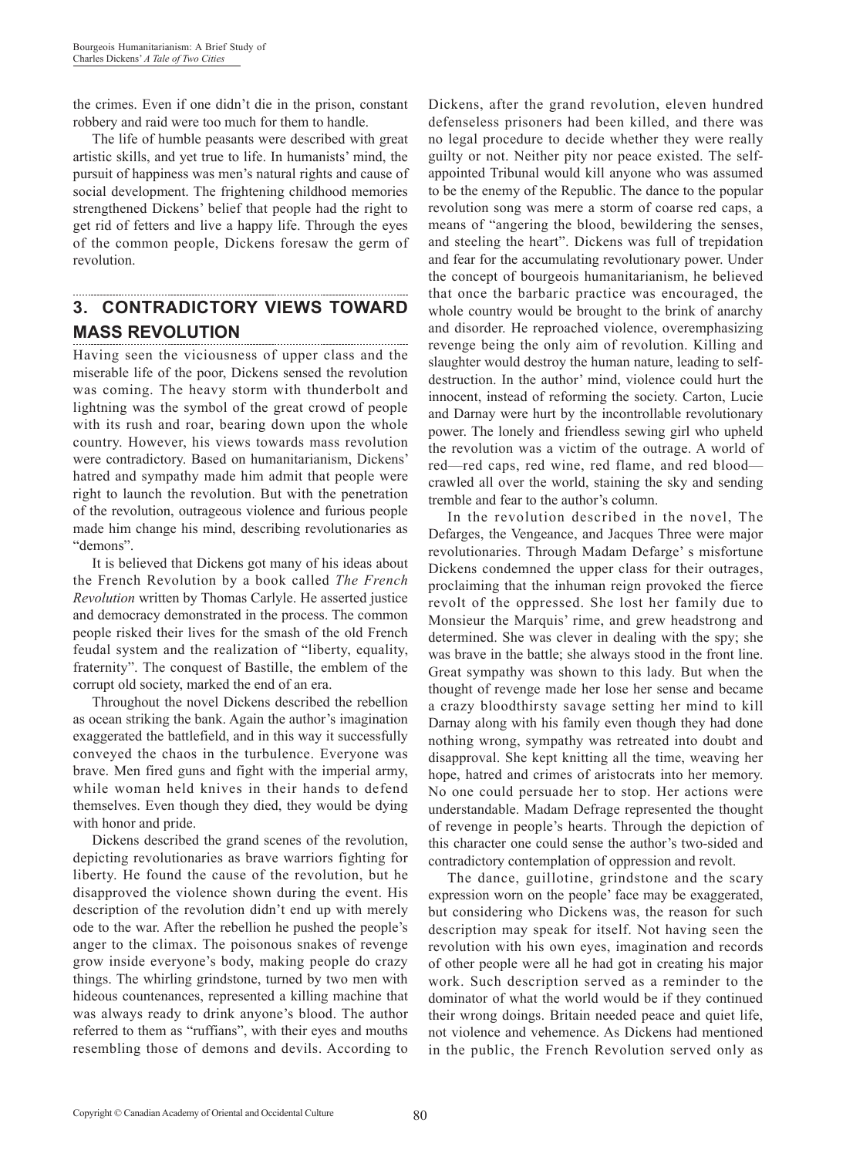the crimes. Even if one didn't die in the prison, constant robbery and raid were too much for them to handle.

The life of humble peasants were described with great artistic skills, and yet true to life. In humanists' mind, the pursuit of happiness was men's natural rights and cause of social development. The frightening childhood memories strengthened Dickens' belief that people had the right to get rid of fetters and live a happy life. Through the eyes of the common people, Dickens foresaw the germ of revolution.

#### **3. CONTRADICTORY VIEWS TOWARD MASS REVOLUTION**

Having seen the viciousness of upper class and the miserable life of the poor, Dickens sensed the revolution was coming. The heavy storm with thunderbolt and lightning was the symbol of the great crowd of people with its rush and roar, bearing down upon the whole country. However, his views towards mass revolution were contradictory. Based on humanitarianism, Dickens' hatred and sympathy made him admit that people were right to launch the revolution. But with the penetration of the revolution, outrageous violence and furious people made him change his mind, describing revolutionaries as "demons".

It is believed that Dickens got many of his ideas about the French Revolution by a book called *The French Revolution* written by Thomas Carlyle. He asserted justice and democracy demonstrated in the process. The common people risked their lives for the smash of the old French feudal system and the realization of "liberty, equality, fraternity". The conquest of Bastille, the emblem of the corrupt old society, marked the end of an era.

Throughout the novel Dickens described the rebellion as ocean striking the bank. Again the author's imagination exaggerated the battlefield, and in this way it successfully conveyed the chaos in the turbulence. Everyone was brave. Men fired guns and fight with the imperial army, while woman held knives in their hands to defend themselves. Even though they died, they would be dying with honor and pride.

Dickens described the grand scenes of the revolution, depicting revolutionaries as brave warriors fighting for liberty. He found the cause of the revolution, but he disapproved the violence shown during the event. His description of the revolution didn't end up with merely ode to the war. After the rebellion he pushed the people's anger to the climax. The poisonous snakes of revenge grow inside everyone's body, making people do crazy things. The whirling grindstone, turned by two men with hideous countenances, represented a killing machine that was always ready to drink anyone's blood. The author referred to them as "ruffians", with their eyes and mouths resembling those of demons and devils. According to

Dickens, after the grand revolution, eleven hundred defenseless prisoners had been killed, and there was no legal procedure to decide whether they were really guilty or not. Neither pity nor peace existed. The selfappointed Tribunal would kill anyone who was assumed to be the enemy of the Republic. The dance to the popular revolution song was mere a storm of coarse red caps, a means of "angering the blood, bewildering the senses, and steeling the heart". Dickens was full of trepidation and fear for the accumulating revolutionary power. Under the concept of bourgeois humanitarianism, he believed that once the barbaric practice was encouraged, the whole country would be brought to the brink of anarchy and disorder. He reproached violence, overemphasizing revenge being the only aim of revolution. Killing and slaughter would destroy the human nature, leading to selfdestruction. In the author' mind, violence could hurt the innocent, instead of reforming the society. Carton, Lucie and Darnay were hurt by the incontrollable revolutionary power. The lonely and friendless sewing girl who upheld the revolution was a victim of the outrage. A world of red—red caps, red wine, red flame, and red blood crawled all over the world, staining the sky and sending tremble and fear to the author's column.

In the revolution described in the novel, The Defarges, the Vengeance, and Jacques Three were major revolutionaries. Through Madam Defarge' s misfortune Dickens condemned the upper class for their outrages, proclaiming that the inhuman reign provoked the fierce revolt of the oppressed. She lost her family due to Monsieur the Marquis' rime, and grew headstrong and determined. She was clever in dealing with the spy; she was brave in the battle; she always stood in the front line. Great sympathy was shown to this lady. But when the thought of revenge made her lose her sense and became a crazy bloodthirsty savage setting her mind to kill Darnay along with his family even though they had done nothing wrong, sympathy was retreated into doubt and disapproval. She kept knitting all the time, weaving her hope, hatred and crimes of aristocrats into her memory. No one could persuade her to stop. Her actions were understandable. Madam Defrage represented the thought of revenge in people's hearts. Through the depiction of this character one could sense the author's two-sided and contradictory contemplation of oppression and revolt.

The dance, guillotine, grindstone and the scary expression worn on the people' face may be exaggerated, but considering who Dickens was, the reason for such description may speak for itself. Not having seen the revolution with his own eyes, imagination and records of other people were all he had got in creating his major work. Such description served as a reminder to the dominator of what the world would be if they continued their wrong doings. Britain needed peace and quiet life, not violence and vehemence. As Dickens had mentioned in the public, the French Revolution served only as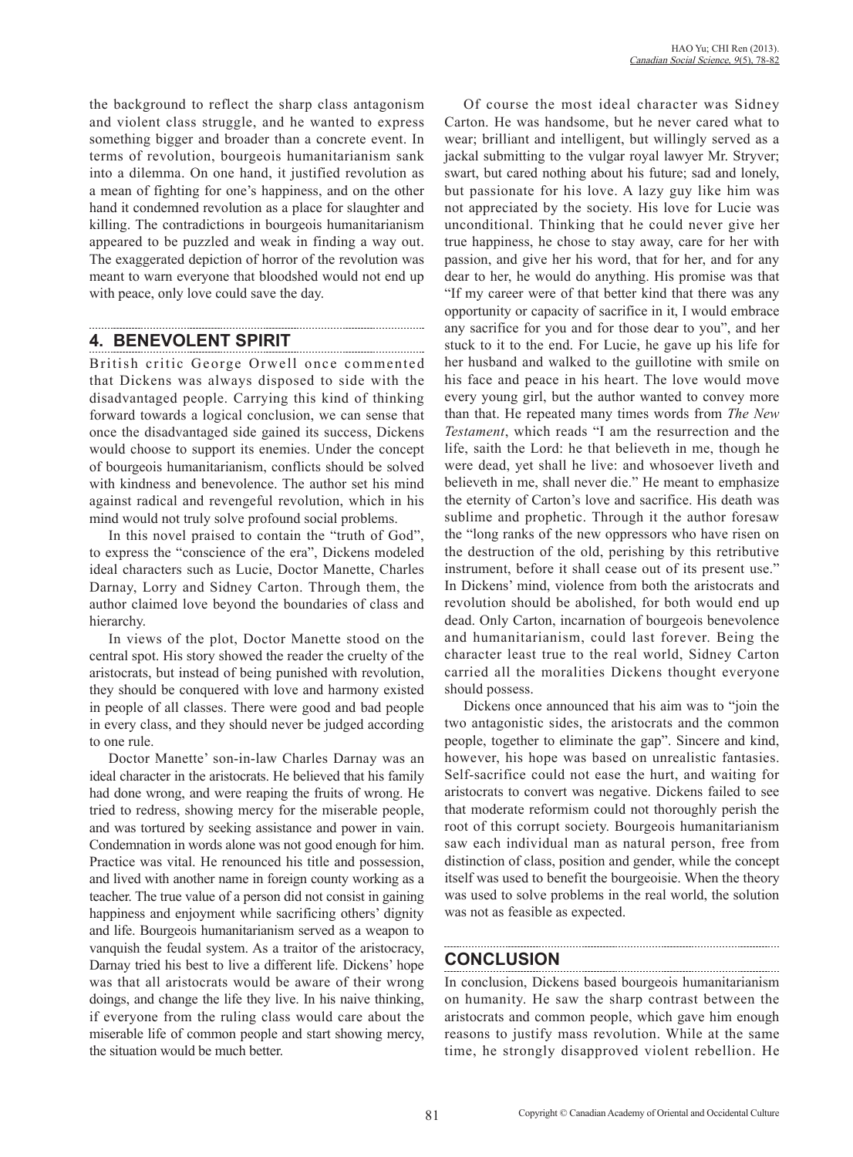the background to reflect the sharp class antagonism and violent class struggle, and he wanted to express something bigger and broader than a concrete event. In terms of revolution, bourgeois humanitarianism sank into a dilemma. On one hand, it justified revolution as a mean of fighting for one's happiness, and on the other hand it condemned revolution as a place for slaughter and killing. The contradictions in bourgeois humanitarianism appeared to be puzzled and weak in finding a way out. The exaggerated depiction of horror of the revolution was meant to warn everyone that bloodshed would not end up with peace, only love could save the day.

## **4. BENEVOLENT SPIRIT**

British critic George Orwell once commented that Dickens was always disposed to side with the disadvantaged people. Carrying this kind of thinking forward towards a logical conclusion, we can sense that once the disadvantaged side gained its success, Dickens would choose to support its enemies. Under the concept of bourgeois humanitarianism, conflicts should be solved with kindness and benevolence. The author set his mind against radical and revengeful revolution, which in his mind would not truly solve profound social problems.

In this novel praised to contain the "truth of God", to express the "conscience of the era", Dickens modeled ideal characters such as Lucie, Doctor Manette, Charles Darnay, Lorry and Sidney Carton. Through them, the author claimed love beyond the boundaries of class and hierarchy.

In views of the plot, Doctor Manette stood on the central spot. His story showed the reader the cruelty of the aristocrats, but instead of being punished with revolution, they should be conquered with love and harmony existed in people of all classes. There were good and bad people in every class, and they should never be judged according to one rule.

Doctor Manette' son-in-law Charles Darnay was an ideal character in the aristocrats. He believed that his family had done wrong, and were reaping the fruits of wrong. He tried to redress, showing mercy for the miserable people, and was tortured by seeking assistance and power in vain. Condemnation in words alone was not good enough for him. Practice was vital. He renounced his title and possession, and lived with another name in foreign county working as a teacher. The true value of a person did not consist in gaining happiness and enjoyment while sacrificing others' dignity and life. Bourgeois humanitarianism served as a weapon to vanquish the feudal system. As a traitor of the aristocracy, Darnay tried his best to live a different life. Dickens' hope was that all aristocrats would be aware of their wrong doings, and change the life they live. In his naive thinking, if everyone from the ruling class would care about the miserable life of common people and start showing mercy, the situation would be much better.

Of course the most ideal character was Sidney Carton. He was handsome, but he never cared what to wear; brilliant and intelligent, but willingly served as a jackal submitting to the vulgar royal lawyer Mr. Stryver; swart, but cared nothing about his future; sad and lonely, but passionate for his love. A lazy guy like him was not appreciated by the society. His love for Lucie was unconditional. Thinking that he could never give her true happiness, he chose to stay away, care for her with passion, and give her his word, that for her, and for any dear to her, he would do anything. His promise was that "If my career were of that better kind that there was any opportunity or capacity of sacrifice in it, I would embrace any sacrifice for you and for those dear to you", and her stuck to it to the end. For Lucie, he gave up his life for her husband and walked to the guillotine with smile on his face and peace in his heart. The love would move every young girl, but the author wanted to convey more than that. He repeated many times words from *The New Testament*, which reads "I am the resurrection and the life, saith the Lord: he that believeth in me, though he were dead, yet shall he live: and whosoever liveth and believeth in me, shall never die." He meant to emphasize the eternity of Carton's love and sacrifice. His death was sublime and prophetic. Through it the author foresaw the "long ranks of the new oppressors who have risen on the destruction of the old, perishing by this retributive instrument, before it shall cease out of its present use." In Dickens' mind, violence from both the aristocrats and revolution should be abolished, for both would end up dead. Only Carton, incarnation of bourgeois benevolence and humanitarianism, could last forever. Being the character least true to the real world, Sidney Carton carried all the moralities Dickens thought everyone should possess.

Dickens once announced that his aim was to "join the two antagonistic sides, the aristocrats and the common people, together to eliminate the gap". Sincere and kind, however, his hope was based on unrealistic fantasies. Self-sacrifice could not ease the hurt, and waiting for aristocrats to convert was negative. Dickens failed to see that moderate reformism could not thoroughly perish the root of this corrupt society. Bourgeois humanitarianism saw each individual man as natural person, free from distinction of class, position and gender, while the concept itself was used to benefit the bourgeoisie. When the theory was used to solve problems in the real world, the solution was not as feasible as expected.

## **CONCLUSION**

In conclusion, Dickens based bourgeois humanitarianism on humanity. He saw the sharp contrast between the aristocrats and common people, which gave him enough reasons to justify mass revolution. While at the same time, he strongly disapproved violent rebellion. He